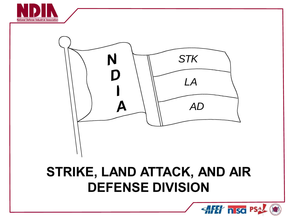



# STRIKE, LAND ATTACK, AND AIR **DEFENSE DIVISION**

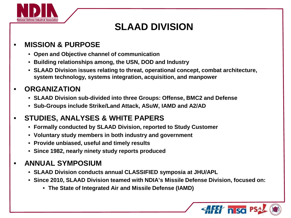

# **SLAAD DIVISION**

### • **MISSION & PURPOSE**

- **Open and Objective channel of communication**
- **Building relationships among, the USN, DOD and Industry**
- **SLAAD Division issues relating to threat, operational concept, combat architecture, system technology, systems integration, acquisition, and manpower**

### • **ORGANIZATION**

- **SLAAD Division sub-divided into three Groups: Offense, BMC2 and Defense**
- **Sub-Groups include Strike/Land Attack, ASuW, IAMD and A2/AD**

### • **STUDIES, ANALYSES & WHITE PAPERS**

- **Formally conducted by SLAAD Division, reported to Study Customer**
- **Voluntary study members in both industry and government**
- **Provide unbiased, useful and timely results**
- **Since 1982, nearly ninety study reports produced**

### • **ANNUAL SYMPOSIUM**

- **SLAAD Division conducts annual CLASSIFIED symposia at JHU/APL**
- **Since 2010, SLAAD Division teamed with NDIA's Missile Defense Division, focused on:**
	- **The State of Integrated Air and Missile Defense (IAMD)**

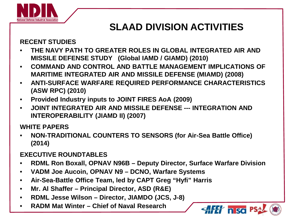

# **SLAAD DIVISION ACTIVITIES**

#### **RECENT STUDIES**

- **THE NAVY PATH TO GREATER ROLES IN GLOBAL INTEGRATED AIR AND MISSILE DEFENSE STUDY (Global IAMD / GIAMD) (2010)**
- **COMMAND AND CONTROL AND BATTLE MANAGEMENT IMPLICATIONS OF MARITIME INTEGRATED AIR AND MISSILE DEFENSE (MIAMD) (2008)**
- **ANTI-SURFACE WARFARE REQUIRED PERFORMANCE CHARACTERISTICS (ASW RPC) (2010)**
- **Provided Industry inputs to JOINT FIRES AoA (2009)**
- **JOINT INTEGRATED AIR AND MISSILE DEFENSE --- INTEGRATION AND INTEROPERABILITY (JIAMD II) (2007)**

#### **WHITE PAPERS**

• **NON-TRADITIONAL COUNTERS TO SENSORS (for Air-Sea Battle Office) (2014)**

#### **EXECUTIVE ROUNDTABLES**

- **RDML Ron Boxall, OPNAV N96B – Deputy Director, Surface Warfare Division**
- **VADM Joe Aucoin, OPNAV N9 – DCNO, Warfare Systems**
- **Air-Sea-Battle Office Team, led by CAPT Greg "Hyfi" Harris**
- **Mr. Al Shaffer – Principal Director, ASD (R&E)**
- **RDML Jesse Wilson – Director, JIAMDO (JCS, J-8)**
- **RADM Mat Winter – Chief of Naval Research**

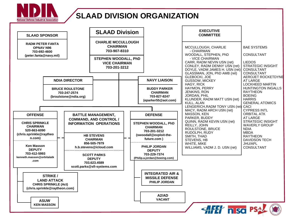

#### **SLAAD DIVISION ORGANIZATION**